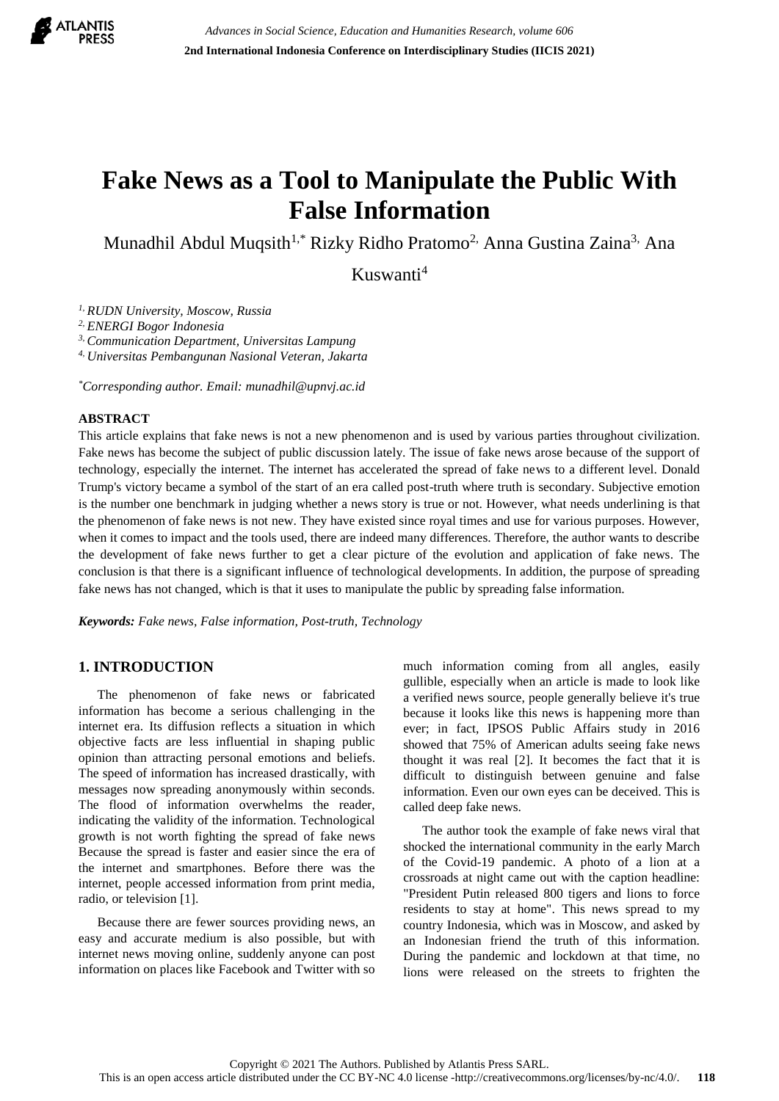

# **Fake News as a Tool to Manipulate the Public With False Information**

Munadhil Abdul Muqsith<sup>1,\*</sup> Rizky Ridho Pratomo<sup>2,</sup> Anna Gustina Zaina<sup>3,</sup> Ana

Kuswanti<sup>4</sup>

*1, RUDN University, Moscow, Russia*

*2, ENERGI Bogor Indonesia*

*3, Communication Department, Universitas Lampung*

*4, Universitas Pembangunan Nasional Veteran, Jakarta*

*\*Corresponding author. Email: munadhil@upnvj.ac.id*

#### **ABSTRACT**

This article explains that fake news is not a new phenomenon and is used by various parties throughout civilization. Fake news has become the subject of public discussion lately. The issue of fake news arose because of the support of technology, especially the internet. The internet has accelerated the spread of fake news to a different level. Donald Trump's victory became a symbol of the start of an era called post-truth where truth is secondary. Subjective emotion is the number one benchmark in judging whether a news story is true or not. However, what needs underlining is that the phenomenon of fake news is not new. They have existed since royal times and use for various purposes. However, when it comes to impact and the tools used, there are indeed many differences. Therefore, the author wants to describe the development of fake news further to get a clear picture of the evolution and application of fake news. The conclusion is that there is a significant influence of technological developments. In addition, the purpose of spreading fake news has not changed, which is that it uses to manipulate the public by spreading false information.

*Keywords: Fake news, False information, Post-truth, Technology*

# **1. INTRODUCTION**

The phenomenon of fake news or fabricated information has become a serious challenging in the internet era. Its diffusion reflects a situation in which objective facts are less influential in shaping public opinion than attracting personal emotions and beliefs. The speed of information has increased drastically, with messages now spreading anonymously within seconds. The flood of information overwhelms the reader, indicating the validity of the information. Technological growth is not worth fighting the spread of fake news Because the spread is faster and easier since the era of the internet and smartphones. Before there was the internet, people accessed information from print media, radio, or television [1].

Because there are fewer sources providing news, an easy and accurate medium is also possible, but with internet news moving online, suddenly anyone can post information on places like Facebook and Twitter with so much information coming from all angles, easily gullible, especially when an article is made to look like a verified news source, people generally believe it's true because it looks like this news is happening more than ever; in fact, IPSOS Public Affairs study in 2016 showed that 75% of American adults seeing fake news thought it was real [2]. It becomes the fact that it is difficult to distinguish between genuine and false information. Even our own eyes can be deceived. This is called deep fake news.

The author took the example of fake news viral that shocked the international community in the early March of the Covid-19 pandemic. A photo of a lion at a crossroads at night came out with the caption headline: "President Putin released 800 tigers and lions to force residents to stay at home". This news spread to my country Indonesia, which was in Moscow, and asked by an Indonesian friend the truth of this information. During the pandemic and lockdown at that time, no lions were released on the streets to frighten the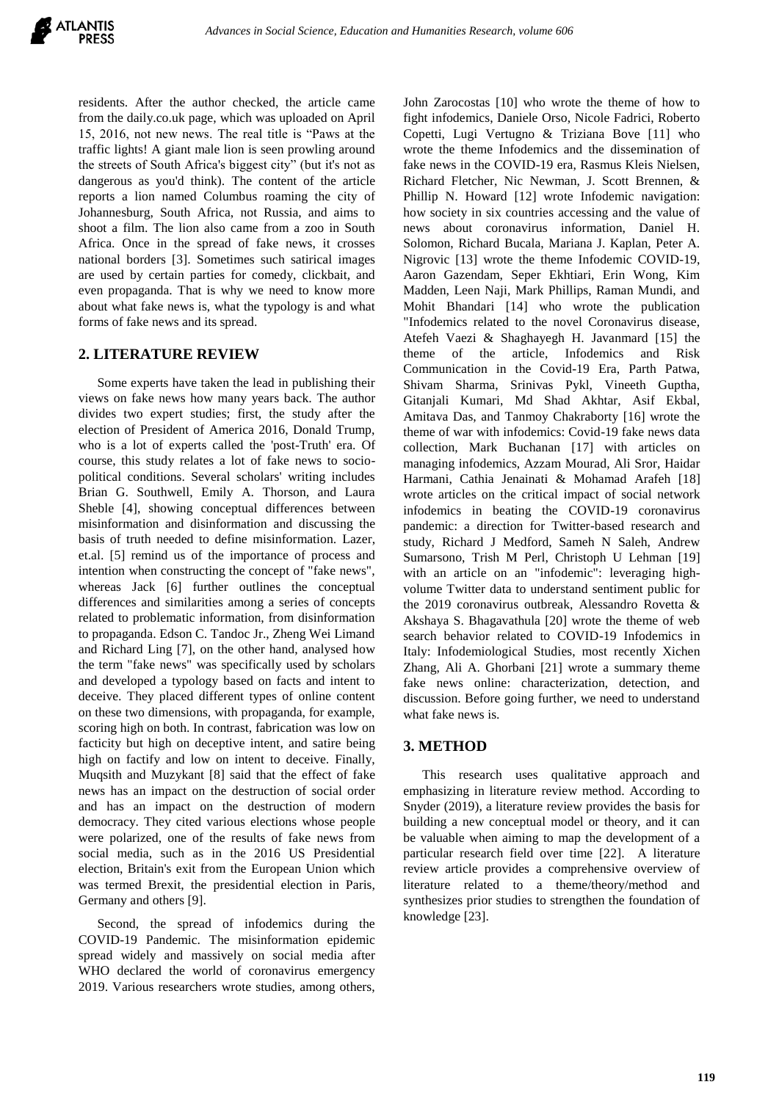residents. After the author checked, the article came from the daily.co.uk page, which was uploaded on April 15, 2016, not new news. The real title is "Paws at the traffic lights! A giant male lion is seen prowling around the streets of South Africa's biggest city" (but it's not as dangerous as you'd think). The content of the article reports a lion named Columbus roaming the city of Johannesburg, South Africa, not Russia, and aims to shoot a film. The lion also came from a zoo in South Africa. Once in the spread of fake news, it crosses national borders [3]. Sometimes such satirical images are used by certain parties for comedy, clickbait, and even propaganda. That is why we need to know more about what fake news is, what the typology is and what forms of fake news and its spread.

## **2. LITERATURE REVIEW**

Some experts have taken the lead in publishing their views on fake news how many years back. The author divides two expert studies; first, the study after the election of President of America 2016, Donald Trump, who is a lot of experts called the 'post-Truth' era. Of course, this study relates a lot of fake news to sociopolitical conditions. Several scholars' writing includes Brian G. Southwell, Emily A. Thorson, and Laura Sheble [4], showing conceptual differences between misinformation and disinformation and discussing the basis of truth needed to define misinformation. Lazer, et.al. [5] remind us of the importance of process and intention when constructing the concept of "fake news", whereas Jack [6] further outlines the conceptual differences and similarities among a series of concepts related to problematic information, from disinformation to propaganda. Edson C. Tandoc Jr., Zheng Wei Limand and Richard Ling [7], on the other hand, analysed how the term "fake news" was specifically used by scholars and developed a typology based on facts and intent to deceive. They placed different types of online content on these two dimensions, with propaganda, for example, scoring high on both. In contrast, fabrication was low on facticity but high on deceptive intent, and satire being high on factify and low on intent to deceive. Finally, Muqsith and Muzykant [8] said that the effect of fake news has an impact on the destruction of social order and has an impact on the destruction of modern democracy. They cited various elections whose people were polarized, one of the results of fake news from social media, such as in the 2016 US Presidential election, Britain's exit from the European Union which was termed Brexit, the presidential election in Paris, Germany and others [9].

Second, the spread of infodemics during the COVID-19 Pandemic. The misinformation epidemic spread widely and massively on social media after WHO declared the world of coronavirus emergency 2019. Various researchers wrote studies, among others,

John Zarocostas [10] who wrote the theme of how to fight infodemics, Daniele Orso, Nicole Fadrici, Roberto Copetti, Lugi Vertugno & Triziana Bove [11] who wrote the theme Infodemics and the dissemination of fake news in the COVID-19 era, Rasmus Kleis Nielsen, Richard Fletcher, Nic Newman, J. Scott Brennen, & Phillip N. Howard [12] wrote Infodemic navigation: how society in six countries accessing and the value of news about coronavirus information, Daniel H. Solomon, Richard Bucala, Mariana J. Kaplan, Peter A. Nigrovic [13] wrote the theme Infodemic COVID-19, Aaron Gazendam, Seper Ekhtiari, Erin Wong, Kim Madden, Leen Naji, Mark Phillips, Raman Mundi, and Mohit Bhandari [14] who wrote the publication "Infodemics related to the novel Coronavirus disease, Atefeh Vaezi & Shaghayegh H. Javanmard [15] the theme of the article, Infodemics and Risk Communication in the Covid-19 Era, Parth Patwa, Shivam Sharma, Srinivas Pykl, Vineeth Guptha, Gitanjali Kumari, Md Shad Akhtar, Asif Ekbal, Amitava Das, and Tanmoy Chakraborty [16] wrote the theme of war with infodemics: Covid-19 fake news data collection, Mark Buchanan [17] with articles on managing infodemics, Azzam Mourad, Ali Sror, Haidar Harmani, Cathia Jenainati & Mohamad Arafeh [18] wrote articles on the critical impact of social network infodemics in beating the COVID-19 coronavirus pandemic: a direction for Twitter-based research and study, Richard J Medford, Sameh N Saleh, Andrew Sumarsono, Trish M Perl, Christoph U Lehman [19] with an article on an "infodemic": leveraging highvolume Twitter data to understand sentiment public for the 2019 coronavirus outbreak, Alessandro Rovetta & Akshaya S. Bhagavathula [20] wrote the theme of web search behavior related to COVID-19 Infodemics in Italy: Infodemiological Studies, most recently Xichen Zhang, Ali A. Ghorbani [21] wrote a summary theme fake news online: characterization, detection, and discussion. Before going further, we need to understand what fake news is.

## **3. METHOD**

This research uses qualitative approach and emphasizing in literature review method. According to Snyder (2019), a literature review provides the basis for building a new conceptual model or theory, and it can be valuable when aiming to map the development of a particular research field over time [22]. A literature review article provides a comprehensive overview of literature related to a theme/theory/method and synthesizes prior studies to strengthen the foundation of knowledge [23].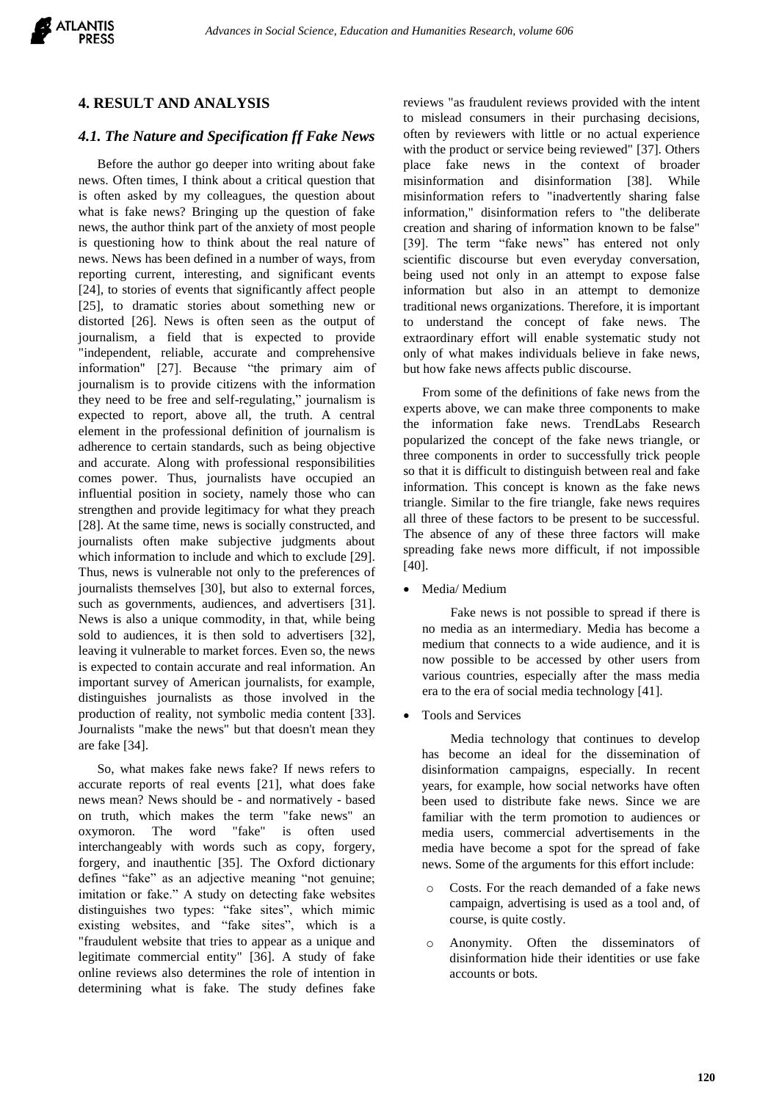

## **4. RESULT AND ANALYSIS**

## *4.1. The Nature and Specification ff Fake News*

Before the author go deeper into writing about fake news. Often times, I think about a critical question that is often asked by my colleagues, the question about what is fake news? Bringing up the question of fake news, the author think part of the anxiety of most people is questioning how to think about the real nature of news. News has been defined in a number of ways, from reporting current, interesting, and significant events [24], to stories of events that significantly affect people [25], to dramatic stories about something new or distorted [26]. News is often seen as the output of journalism, a field that is expected to provide "independent, reliable, accurate and comprehensive information" [27]. Because "the primary aim of journalism is to provide citizens with the information they need to be free and self-regulating," journalism is expected to report, above all, the truth. A central element in the professional definition of journalism is adherence to certain standards, such as being objective and accurate. Along with professional responsibilities comes power. Thus, journalists have occupied an influential position in society, namely those who can strengthen and provide legitimacy for what they preach [28]. At the same time, news is socially constructed, and journalists often make subjective judgments about which information to include and which to exclude [29]. Thus, news is vulnerable not only to the preferences of journalists themselves [30], but also to external forces, such as governments, audiences, and advertisers [31]. News is also a unique commodity, in that, while being sold to audiences, it is then sold to advertisers [32], leaving it vulnerable to market forces. Even so, the news is expected to contain accurate and real information. An important survey of American journalists, for example, distinguishes journalists as those involved in the production of reality, not symbolic media content [33]. Journalists "make the news" but that doesn't mean they are fake [34].

So, what makes fake news fake? If news refers to accurate reports of real events [21], what does fake news mean? News should be - and normatively - based on truth, which makes the term "fake news" an oxymoron. The word "fake" is often used interchangeably with words such as copy, forgery, forgery, and inauthentic [35]. The Oxford dictionary defines "fake" as an adjective meaning "not genuine; imitation or fake." A study on detecting fake websites distinguishes two types: "fake sites", which mimic existing websites, and "fake sites", which is a "fraudulent website that tries to appear as a unique and legitimate commercial entity" [36]. A study of fake online reviews also determines the role of intention in determining what is fake. The study defines fake

reviews "as fraudulent reviews provided with the intent to mislead consumers in their purchasing decisions, often by reviewers with little or no actual experience with the product or service being reviewed" [37]. Others place fake news in the context of broader misinformation and disinformation [38]. While misinformation refers to "inadvertently sharing false information," disinformation refers to "the deliberate creation and sharing of information known to be false" [39]. The term "fake news" has entered not only scientific discourse but even everyday conversation, being used not only in an attempt to expose false information but also in an attempt to demonize traditional news organizations. Therefore, it is important to understand the concept of fake news. The extraordinary effort will enable systematic study not only of what makes individuals believe in fake news, but how fake news affects public discourse.

From some of the definitions of fake news from the experts above, we can make three components to make the information fake news. TrendLabs Research popularized the concept of the fake news triangle, or three components in order to successfully trick people so that it is difficult to distinguish between real and fake information. This concept is known as the fake news triangle. Similar to the fire triangle, fake news requires all three of these factors to be present to be successful. The absence of any of these three factors will make spreading fake news more difficult, if not impossible [40].

Media/ Medium

Fake news is not possible to spread if there is no media as an intermediary. Media has become a medium that connects to a wide audience, and it is now possible to be accessed by other users from various countries, especially after the mass media era to the era of social media technology [41].

Tools and Services

Media technology that continues to develop has become an ideal for the dissemination of disinformation campaigns, especially. In recent years, for example, how social networks have often been used to distribute fake news. Since we are familiar with the term promotion to audiences or media users, commercial advertisements in the media have become a spot for the spread of fake news. Some of the arguments for this effort include:

- o Costs. For the reach demanded of a fake news campaign, advertising is used as a tool and, of course, is quite costly.
- Anonymity. Often the disseminators of disinformation hide their identities or use fake accounts or bots.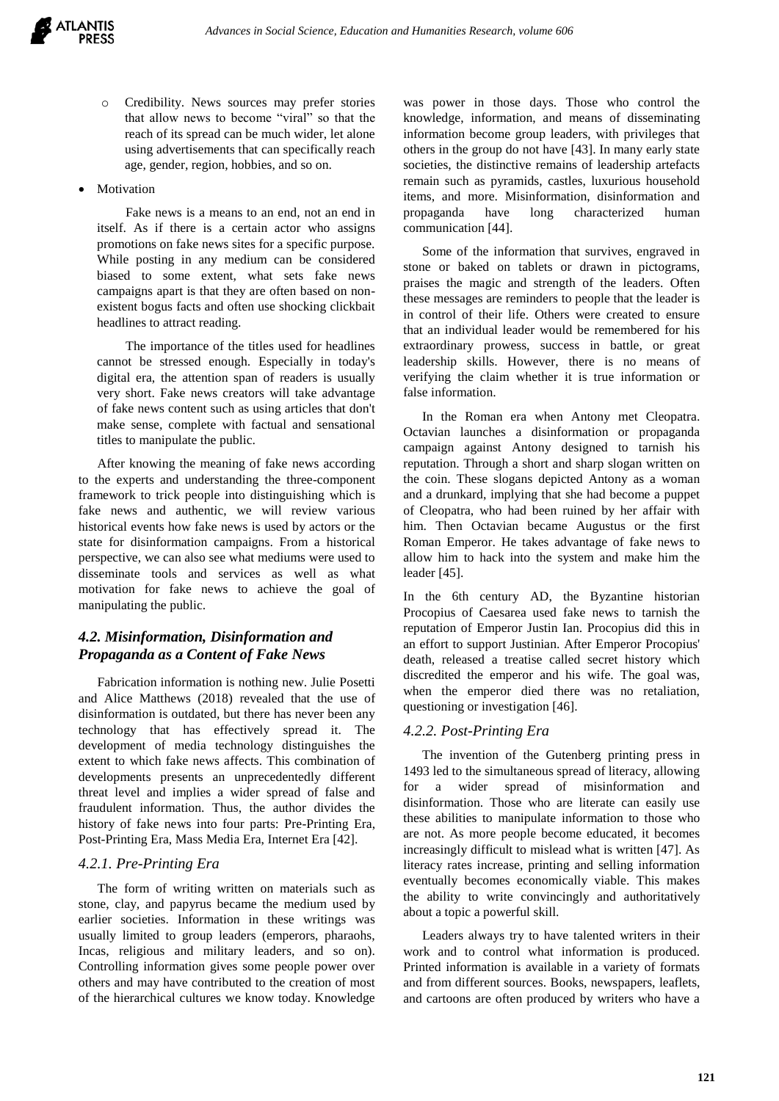- o Credibility. News sources may prefer stories that allow news to become "viral" so that the reach of its spread can be much wider, let alone using advertisements that can specifically reach age, gender, region, hobbies, and so on.
- Motivation

Fake news is a means to an end, not an end in itself. As if there is a certain actor who assigns promotions on fake news sites for a specific purpose. While posting in any medium can be considered biased to some extent, what sets fake news campaigns apart is that they are often based on nonexistent bogus facts and often use shocking clickbait headlines to attract reading.

The importance of the titles used for headlines cannot be stressed enough. Especially in today's digital era, the attention span of readers is usually very short. Fake news creators will take advantage of fake news content such as using articles that don't make sense, complete with factual and sensational titles to manipulate the public.

After knowing the meaning of fake news according to the experts and understanding the three-component framework to trick people into distinguishing which is fake news and authentic, we will review various historical events how fake news is used by actors or the state for disinformation campaigns. From a historical perspective, we can also see what mediums were used to disseminate tools and services as well as what motivation for fake news to achieve the goal of manipulating the public.

# *4.2. Misinformation, Disinformation and Propaganda as a Content of Fake News*

Fabrication information is nothing new. Julie Posetti and Alice Matthews (2018) revealed that the use of disinformation is outdated, but there has never been any technology that has effectively spread it. The development of media technology distinguishes the extent to which fake news affects. This combination of developments presents an unprecedentedly different threat level and implies a wider spread of false and fraudulent information. Thus, the author divides the history of fake news into four parts: Pre-Printing Era, Post-Printing Era, Mass Media Era, Internet Era [42].

# *4.2.1. Pre-Printing Era*

The form of writing written on materials such as stone, clay, and papyrus became the medium used by earlier societies. Information in these writings was usually limited to group leaders (emperors, pharaohs, Incas, religious and military leaders, and so on). Controlling information gives some people power over others and may have contributed to the creation of most of the hierarchical cultures we know today. Knowledge was power in those days. Those who control the knowledge, information, and means of disseminating information become group leaders, with privileges that others in the group do not have [43]. In many early state societies, the distinctive remains of leadership artefacts remain such as pyramids, castles, luxurious household items, and more. Misinformation, disinformation and propaganda have long characterized human communication [44].

Some of the information that survives, engraved in stone or baked on tablets or drawn in pictograms, praises the magic and strength of the leaders. Often these messages are reminders to people that the leader is in control of their life. Others were created to ensure that an individual leader would be remembered for his extraordinary prowess, success in battle, or great leadership skills. However, there is no means of verifying the claim whether it is true information or false information.

In the Roman era when Antony met Cleopatra. Octavian launches a disinformation or propaganda campaign against Antony designed to tarnish his reputation. Through a short and sharp slogan written on the coin. These slogans depicted Antony as a woman and a drunkard, implying that she had become a puppet of Cleopatra, who had been ruined by her affair with him. Then Octavian became Augustus or the first Roman Emperor. He takes advantage of fake news to allow him to hack into the system and make him the leader [45].

In the 6th century AD, the Byzantine historian Procopius of Caesarea used fake news to tarnish the reputation of Emperor Justin Ian. Procopius did this in an effort to support Justinian. After Emperor Procopius' death, released a treatise called secret history which discredited the emperor and his wife. The goal was, when the emperor died there was no retaliation, questioning or investigation [46].

## *4.2.2. Post-Printing Era*

The invention of the Gutenberg printing press in 1493 led to the simultaneous spread of literacy, allowing for a wider spread of misinformation and disinformation. Those who are literate can easily use these abilities to manipulate information to those who are not. As more people become educated, it becomes increasingly difficult to mislead what is written [47]. As literacy rates increase, printing and selling information eventually becomes economically viable. This makes the ability to write convincingly and authoritatively about a topic a powerful skill.

Leaders always try to have talented writers in their work and to control what information is produced. Printed information is available in a variety of formats and from different sources. Books, newspapers, leaflets, and cartoons are often produced by writers who have a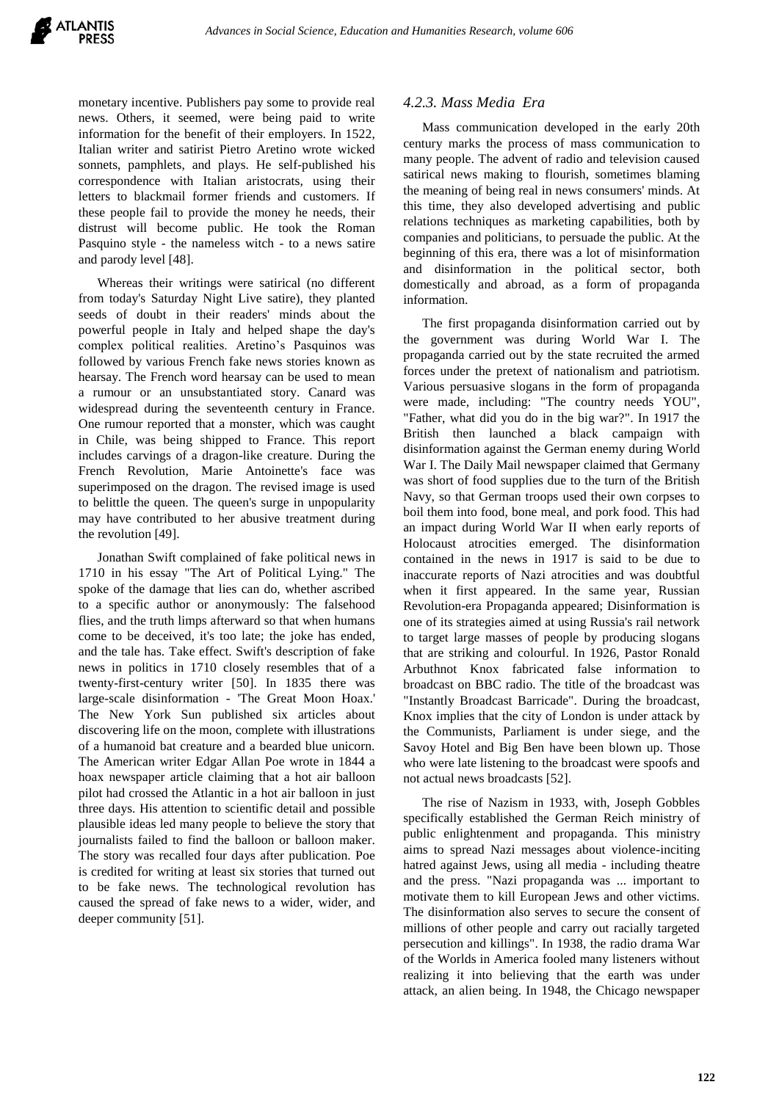monetary incentive. Publishers pay some to provide real news. Others, it seemed, were being paid to write information for the benefit of their employers. In 1522, Italian writer and satirist Pietro Aretino wrote wicked sonnets, pamphlets, and plays. He self-published his correspondence with Italian aristocrats, using their letters to blackmail former friends and customers. If these people fail to provide the money he needs, their distrust will become public. He took the Roman Pasquino style - the nameless witch - to a news satire and parody level [48].

Whereas their writings were satirical (no different from today's Saturday Night Live satire), they planted seeds of doubt in their readers' minds about the powerful people in Italy and helped shape the day's complex political realities. Aretino's Pasquinos was followed by various French fake news stories known as hearsay. The French word hearsay can be used to mean a rumour or an unsubstantiated story. Canard was widespread during the seventeenth century in France. One rumour reported that a monster, which was caught in Chile, was being shipped to France. This report includes carvings of a dragon-like creature. During the French Revolution, Marie Antoinette's face was superimposed on the dragon. The revised image is used to belittle the queen. The queen's surge in unpopularity may have contributed to her abusive treatment during the revolution [49].

Jonathan Swift complained of fake political news in 1710 in his essay "The Art of Political Lying." The spoke of the damage that lies can do, whether ascribed to a specific author or anonymously: The falsehood flies, and the truth limps afterward so that when humans come to be deceived, it's too late; the joke has ended, and the tale has. Take effect. Swift's description of fake news in politics in 1710 closely resembles that of a twenty-first-century writer [50]. In 1835 there was large-scale disinformation - 'The Great Moon Hoax.' The New York Sun published six articles about discovering life on the moon, complete with illustrations of a humanoid bat creature and a bearded blue unicorn. The American writer Edgar Allan Poe wrote in 1844 a hoax newspaper article claiming that a hot air balloon pilot had crossed the Atlantic in a hot air balloon in just three days. His attention to scientific detail and possible plausible ideas led many people to believe the story that journalists failed to find the balloon or balloon maker. The story was recalled four days after publication. Poe is credited for writing at least six stories that turned out to be fake news. The technological revolution has caused the spread of fake news to a wider, wider, and deeper community [51].

# *4.2.3. Mass Media Era*

Mass communication developed in the early 20th century marks the process of mass communication to many people. The advent of radio and television caused satirical news making to flourish, sometimes blaming the meaning of being real in news consumers' minds. At this time, they also developed advertising and public relations techniques as marketing capabilities, both by companies and politicians, to persuade the public. At the beginning of this era, there was a lot of misinformation and disinformation in the political sector, both domestically and abroad, as a form of propaganda information.

The first propaganda disinformation carried out by the government was during World War I. The propaganda carried out by the state recruited the armed forces under the pretext of nationalism and patriotism. Various persuasive slogans in the form of propaganda were made, including: "The country needs YOU", "Father, what did you do in the big war?". In 1917 the British then launched a black campaign with disinformation against the German enemy during World War I. The Daily Mail newspaper claimed that Germany was short of food supplies due to the turn of the British Navy, so that German troops used their own corpses to boil them into food, bone meal, and pork food. This had an impact during World War II when early reports of Holocaust atrocities emerged. The disinformation contained in the news in 1917 is said to be due to inaccurate reports of Nazi atrocities and was doubtful when it first appeared. In the same year, Russian Revolution-era Propaganda appeared; Disinformation is one of its strategies aimed at using Russia's rail network to target large masses of people by producing slogans that are striking and colourful. In 1926, Pastor Ronald Arbuthnot Knox fabricated false information to broadcast on BBC radio. The title of the broadcast was "Instantly Broadcast Barricade". During the broadcast, Knox implies that the city of London is under attack by the Communists, Parliament is under siege, and the Savoy Hotel and Big Ben have been blown up. Those who were late listening to the broadcast were spoofs and not actual news broadcasts [52].

The rise of Nazism in 1933, with, Joseph Gobbles specifically established the German Reich ministry of public enlightenment and propaganda. This ministry aims to spread Nazi messages about violence-inciting hatred against Jews, using all media - including theatre and the press. "Nazi propaganda was ... important to motivate them to kill European Jews and other victims. The disinformation also serves to secure the consent of millions of other people and carry out racially targeted persecution and killings". In 1938, the radio drama War of the Worlds in America fooled many listeners without realizing it into believing that the earth was under attack, an alien being. In 1948, the Chicago newspaper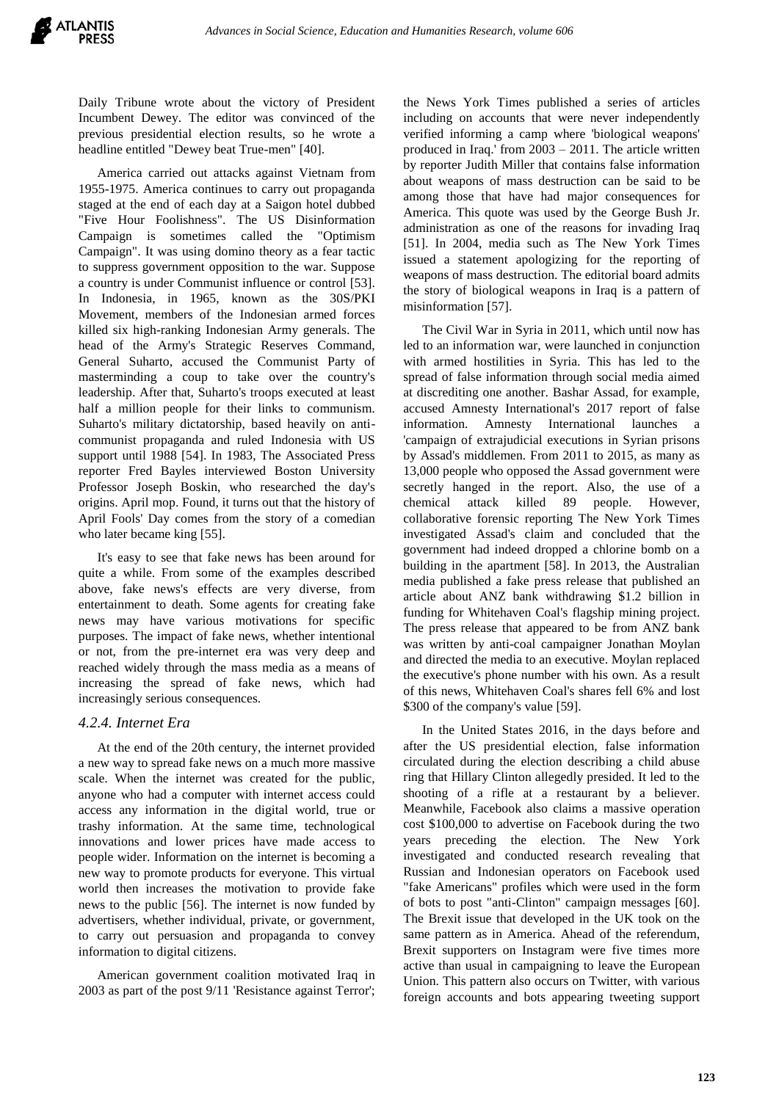Daily Tribune wrote about the victory of President Incumbent Dewey. The editor was convinced of the previous presidential election results, so he wrote a headline entitled "Dewey beat True-men" [40].

America carried out attacks against Vietnam from 1955-1975. America continues to carry out propaganda staged at the end of each day at a Saigon hotel dubbed "Five Hour Foolishness". The US Disinformation Campaign is sometimes called the "Optimism Campaign". It was using domino theory as a fear tactic to suppress government opposition to the war. Suppose a country is under Communist influence or control [53]. In Indonesia, in 1965, known as the 30S/PKI Movement, members of the Indonesian armed forces killed six high-ranking Indonesian Army generals. The head of the Army's Strategic Reserves Command, General Suharto, accused the Communist Party of masterminding a coup to take over the country's leadership. After that, Suharto's troops executed at least half a million people for their links to communism. Suharto's military dictatorship, based heavily on anticommunist propaganda and ruled Indonesia with US support until 1988 [54]. In 1983, The Associated Press reporter Fred Bayles interviewed Boston University Professor Joseph Boskin, who researched the day's origins. April mop. Found, it turns out that the history of April Fools' Day comes from the story of a comedian who later became king [55].

It's easy to see that fake news has been around for quite a while. From some of the examples described above, fake news's effects are very diverse, from entertainment to death. Some agents for creating fake news may have various motivations for specific purposes. The impact of fake news, whether intentional or not, from the pre-internet era was very deep and reached widely through the mass media as a means of increasing the spread of fake news, which had increasingly serious consequences.

## *4.2.4. Internet Era*

At the end of the 20th century, the internet provided a new way to spread fake news on a much more massive scale. When the internet was created for the public, anyone who had a computer with internet access could access any information in the digital world, true or trashy information. At the same time, technological innovations and lower prices have made access to people wider. Information on the internet is becoming a new way to promote products for everyone. This virtual world then increases the motivation to provide fake news to the public [56]. The internet is now funded by advertisers, whether individual, private, or government, to carry out persuasion and propaganda to convey information to digital citizens.

American government coalition motivated Iraq in 2003 as part of the post 9/11 'Resistance against Terror';

the News York Times published a series of articles including on accounts that were never independently verified informing a camp where 'biological weapons' produced in Iraq.' from 2003 – 2011. The article written by reporter Judith Miller that contains false information about weapons of mass destruction can be said to be among those that have had major consequences for America. This quote was used by the George Bush Jr. administration as one of the reasons for invading Iraq [51]. In 2004, media such as The New York Times issued a statement apologizing for the reporting of weapons of mass destruction. The editorial board admits the story of biological weapons in Iraq is a pattern of misinformation [57].

The Civil War in Syria in 2011, which until now has led to an information war, were launched in conjunction with armed hostilities in Syria. This has led to the spread of false information through social media aimed at discrediting one another. Bashar Assad, for example, accused Amnesty International's 2017 report of false information. Amnesty International launches 'campaign of extrajudicial executions in Syrian prisons by Assad's middlemen. From 2011 to 2015, as many as 13,000 people who opposed the Assad government were secretly hanged in the report. Also, the use of a chemical attack killed 89 people. However, collaborative forensic reporting The New York Times investigated Assad's claim and concluded that the government had indeed dropped a chlorine bomb on a building in the apartment [58]. In 2013, the Australian media published a fake press release that published an article about ANZ bank withdrawing \$1.2 billion in funding for Whitehaven Coal's flagship mining project. The press release that appeared to be from ANZ bank was written by anti-coal campaigner Jonathan Moylan and directed the media to an executive. Moylan replaced the executive's phone number with his own. As a result of this news, Whitehaven Coal's shares fell 6% and lost \$300 of the company's value [59].

In the United States 2016, in the days before and after the US presidential election, false information circulated during the election describing a child abuse ring that Hillary Clinton allegedly presided. It led to the shooting of a rifle at a restaurant by a believer. Meanwhile, Facebook also claims a massive operation cost \$100,000 to advertise on Facebook during the two years preceding the election. The New York investigated and conducted research revealing that Russian and Indonesian operators on Facebook used "fake Americans" profiles which were used in the form of bots to post "anti-Clinton" campaign messages [60]. The Brexit issue that developed in the UK took on the same pattern as in America. Ahead of the referendum, Brexit supporters on Instagram were five times more active than usual in campaigning to leave the European Union. This pattern also occurs on Twitter, with various foreign accounts and bots appearing tweeting support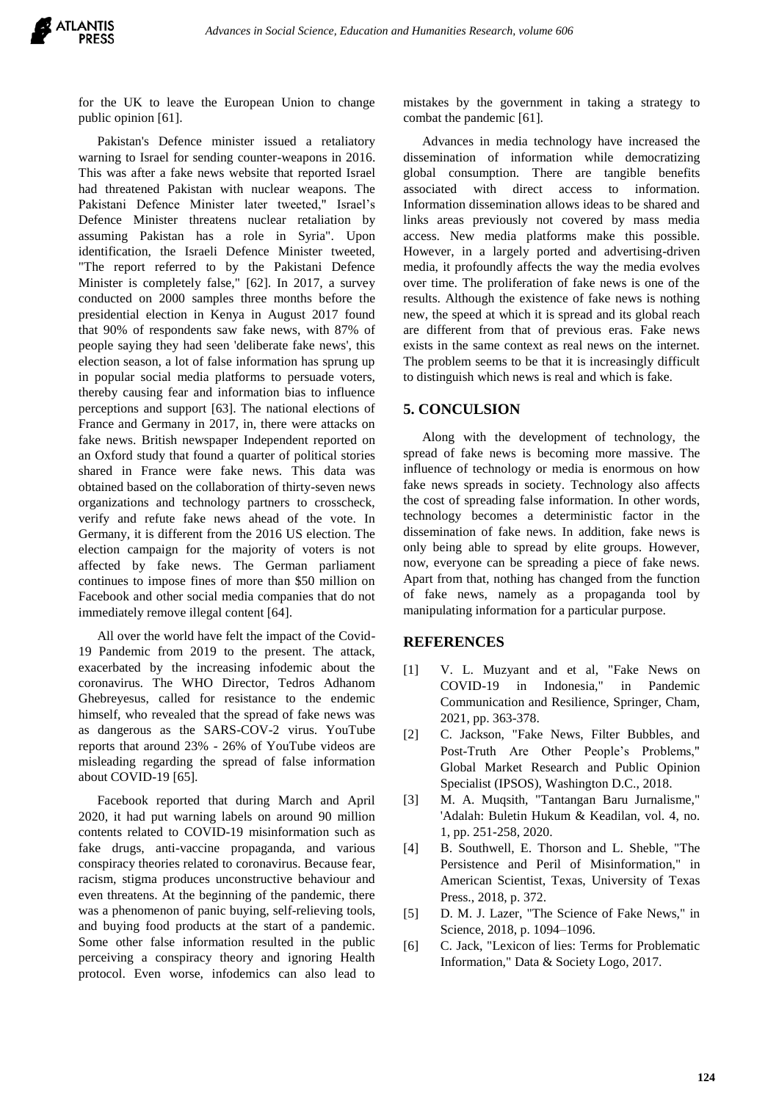

for the UK to leave the European Union to change public opinion [61].

Pakistan's Defence minister issued a retaliatory warning to Israel for sending counter-weapons in 2016. This was after a fake news website that reported Israel had threatened Pakistan with nuclear weapons. The Pakistani Defence Minister later tweeted," Israel's Defence Minister threatens nuclear retaliation by assuming Pakistan has a role in Syria". Upon identification, the Israeli Defence Minister tweeted, "The report referred to by the Pakistani Defence Minister is completely false," [62]. In 2017, a survey conducted on 2000 samples three months before the presidential election in Kenya in August 2017 found that 90% of respondents saw fake news, with 87% of people saying they had seen 'deliberate fake news', this election season, a lot of false information has sprung up in popular social media platforms to persuade voters, thereby causing fear and information bias to influence perceptions and support [63]. The national elections of France and Germany in 2017, in, there were attacks on fake news. British newspaper Independent reported on an Oxford study that found a quarter of political stories shared in France were fake news. This data was obtained based on the collaboration of thirty-seven news organizations and technology partners to crosscheck, verify and refute fake news ahead of the vote. In Germany, it is different from the 2016 US election. The election campaign for the majority of voters is not affected by fake news. The German parliament continues to impose fines of more than \$50 million on Facebook and other social media companies that do not immediately remove illegal content [64].

All over the world have felt the impact of the Covid-19 Pandemic from 2019 to the present. The attack, exacerbated by the increasing infodemic about the coronavirus. The WHO Director, Tedros Adhanom Ghebreyesus, called for resistance to the endemic himself, who revealed that the spread of fake news was as dangerous as the SARS-COV-2 virus. YouTube reports that around 23% - 26% of YouTube videos are misleading regarding the spread of false information about COVID-19 [65].

Facebook reported that during March and April 2020, it had put warning labels on around 90 million contents related to COVID-19 misinformation such as fake drugs, anti-vaccine propaganda, and various conspiracy theories related to coronavirus. Because fear, racism, stigma produces unconstructive behaviour and even threatens. At the beginning of the pandemic, there was a phenomenon of panic buying, self-relieving tools, and buying food products at the start of a pandemic. Some other false information resulted in the public perceiving a conspiracy theory and ignoring Health protocol. Even worse, infodemics can also lead to mistakes by the government in taking a strategy to combat the pandemic [61].

Advances in media technology have increased the dissemination of information while democratizing global consumption. There are tangible benefits associated with direct access to information. Information dissemination allows ideas to be shared and links areas previously not covered by mass media access. New media platforms make this possible. However, in a largely ported and advertising-driven media, it profoundly affects the way the media evolves over time. The proliferation of fake news is one of the results. Although the existence of fake news is nothing new, the speed at which it is spread and its global reach are different from that of previous eras. Fake news exists in the same context as real news on the internet. The problem seems to be that it is increasingly difficult to distinguish which news is real and which is fake.

## **5. CONCULSION**

Along with the development of technology, the spread of fake news is becoming more massive. The influence of technology or media is enormous on how fake news spreads in society. Technology also affects the cost of spreading false information. In other words, technology becomes a deterministic factor in the dissemination of fake news. In addition, fake news is only being able to spread by elite groups. However, now, everyone can be spreading a piece of fake news. Apart from that, nothing has changed from the function of fake news, namely as a propaganda tool by manipulating information for a particular purpose.

#### **REFERENCES**

- [1] V. L. Muzyant and et al, "Fake News on COVID-19 in Indonesia," in Pandemic Communication and Resilience, Springer, Cham, 2021, pp. 363-378.
- [2] C. Jackson, "Fake News, Filter Bubbles, and Post-Truth Are Other People's Problems," Global Market Research and Public Opinion Specialist (IPSOS), Washington D.C., 2018.
- [3] M. A. Muqsith, "Tantangan Baru Jurnalisme," 'Adalah: Buletin Hukum & Keadilan, vol. 4, no. 1, pp. 251-258, 2020.
- [4] B. Southwell, E. Thorson and L. Sheble, "The Persistence and Peril of Misinformation," in American Scientist, Texas, University of Texas Press., 2018, p. 372.
- [5] D. M. J. Lazer, "The Science of Fake News," in Science, 2018, p. 1094–1096.
- [6] C. Jack, "Lexicon of lies: Terms for Problematic Information," Data & Society Logo, 2017.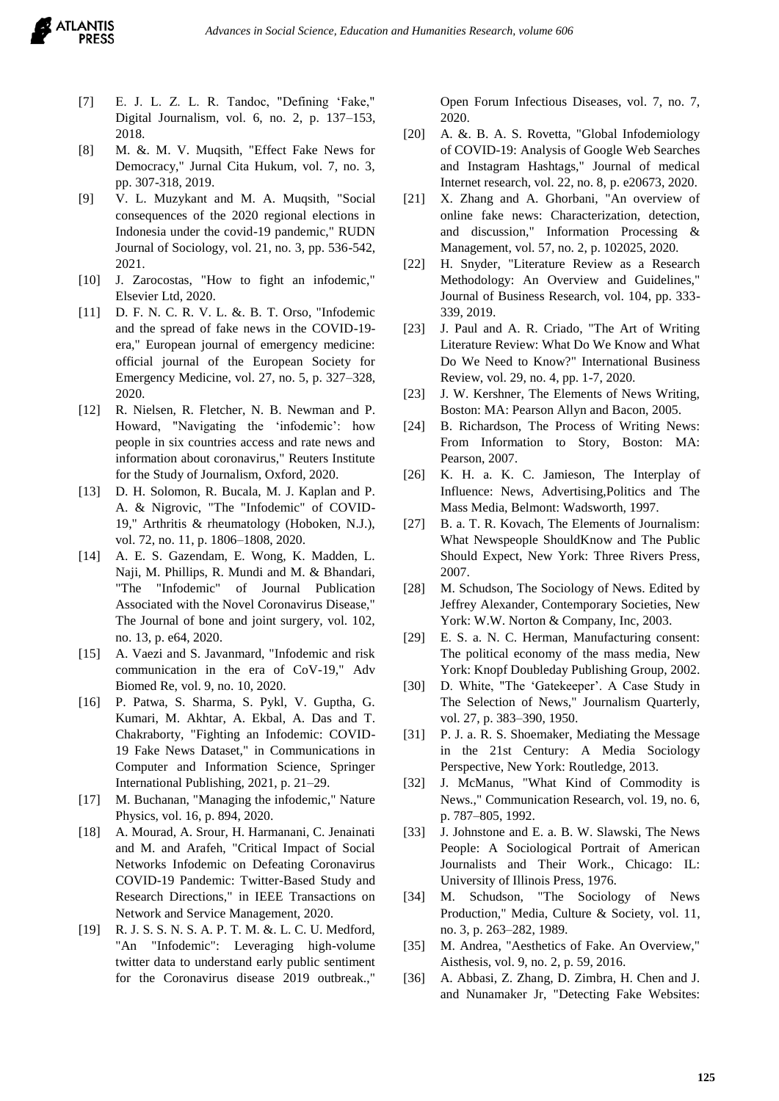- [7] E. J. L. Z. L. R. Tandoc, "Defining 'Fake," Digital Journalism, vol. 6, no. 2, p. 137–153, 2018.
- [8] M. &. M. V. Muqsith, "Effect Fake News for Democracy," Jurnal Cita Hukum, vol. 7, no. 3, pp. 307-318, 2019.
- [9] V. L. Muzykant and M. A. Muqsith, "Social consequences of the 2020 regional elections in Indonesia under the covid-19 pandemic," RUDN Journal of Sociology, vol. 21, no. 3, pp. 536-542, 2021.
- [10] J. Zarocostas, "How to fight an infodemic," Elsevier Ltd, 2020.
- [11] D. F. N. C. R. V. L. &. B. T. Orso, "Infodemic and the spread of fake news in the COVID-19 era," European journal of emergency medicine: official journal of the European Society for Emergency Medicine, vol. 27, no. 5, p. 327–328, 2020.
- [12] R. Nielsen, R. Fletcher, N. B. Newman and P. Howard, "Navigating the 'infodemic': how people in six countries access and rate news and information about coronavirus," Reuters Institute for the Study of Journalism, Oxford, 2020.
- [13] D. H. Solomon, R. Bucala, M. J. Kaplan and P. A. & Nigrovic, "The "Infodemic" of COVID-19," Arthritis & rheumatology (Hoboken, N.J.), vol. 72, no. 11, p. 1806–1808, 2020.
- [14] A. E. S. Gazendam, E. Wong, K. Madden, L. Naji, M. Phillips, R. Mundi and M. & Bhandari, "The "Infodemic" of Journal Publication Associated with the Novel Coronavirus Disease," The Journal of bone and joint surgery, vol. 102, no. 13, p. e64, 2020.
- [15] A. Vaezi and S. Javanmard, "Infodemic and risk communication in the era of CoV-19," Adv Biomed Re, vol. 9, no. 10, 2020.
- [16] P. Patwa, S. Sharma, S. Pykl, V. Guptha, G. Kumari, M. Akhtar, A. Ekbal, A. Das and T. Chakraborty, "Fighting an Infodemic: COVID-19 Fake News Dataset," in Communications in Computer and Information Science, Springer International Publishing, 2021, p. 21–29.
- [17] M. Buchanan, "Managing the infodemic," Nature Physics, vol. 16, p. 894, 2020.
- [18] A. Mourad, A. Srour, H. Harmanani, C. Jenainati and M. and Arafeh, "Critical Impact of Social Networks Infodemic on Defeating Coronavirus COVID-19 Pandemic: Twitter-Based Study and Research Directions," in IEEE Transactions on Network and Service Management, 2020.
- [19] R. J. S. S. N. S. A. P. T. M. &. L. C. U. Medford, "An "Infodemic": Leveraging high-volume twitter data to understand early public sentiment for the Coronavirus disease 2019 outbreak.,"

Open Forum Infectious Diseases, vol. 7, no. 7, 2020.

- [20] A. &. B. A. S. Rovetta, "Global Infodemiology of COVID-19: Analysis of Google Web Searches and Instagram Hashtags," Journal of medical Internet research, vol. 22, no. 8, p. e20673, 2020.
- [21] X. Zhang and A. Ghorbani, "An overview of online fake news: Characterization, detection, and discussion," Information Processing & Management, vol. 57, no. 2, p. 102025, 2020.
- [22] H. Snyder, "Literature Review as a Research Methodology: An Overview and Guidelines," Journal of Business Research, vol. 104, pp. 333- 339, 2019.
- [23] J. Paul and A. R. Criado, "The Art of Writing Literature Review: What Do We Know and What Do We Need to Know?" International Business Review, vol. 29, no. 4, pp. 1-7, 2020.
- [23] J. W. Kershner, The Elements of News Writing, Boston: MA: Pearson Allyn and Bacon, 2005.
- [24] B. Richardson, The Process of Writing News: From Information to Story, Boston: MA: Pearson, 2007.
- [26] K. H. a. K. C. Jamieson, The Interplay of Influence: News, Advertising,Politics and The Mass Media, Belmont: Wadsworth, 1997.
- [27] B. a. T. R. Kovach, The Elements of Journalism: What Newspeople ShouldKnow and The Public Should Expect, New York: Three Rivers Press, 2007.
- [28] M. Schudson, The Sociology of News. Edited by Jeffrey Alexander, Contemporary Societies, New York: W.W. Norton & Company, Inc, 2003.
- [29] E. S. a. N. C. Herman, Manufacturing consent: The political economy of the mass media, New York: Knopf Doubleday Publishing Group, 2002.
- [30] D. White, "The 'Gatekeeper'. A Case Study in The Selection of News," Journalism Quarterly, vol. 27, p. 383–390, 1950.
- [31] P. J. a. R. S. Shoemaker, Mediating the Message in the 21st Century: A Media Sociology Perspective, New York: Routledge, 2013.
- [32] J. McManus, "What Kind of Commodity is News.," Communication Research, vol. 19, no. 6, p. 787–805, 1992.
- [33] J. Johnstone and E. a. B. W. Slawski, The News People: A Sociological Portrait of American Journalists and Their Work., Chicago: IL: University of Illinois Press, 1976.
- [34] M. Schudson, "The Sociology of News Production," Media, Culture & Society, vol. 11, no. 3, p. 263–282, 1989.
- [35] M. Andrea, "Aesthetics of Fake. An Overview," Aisthesis, vol. 9, no. 2, p. 59, 2016.
- [36] A. Abbasi, Z. Zhang, D. Zimbra, H. Chen and J. and Nunamaker Jr, "Detecting Fake Websites: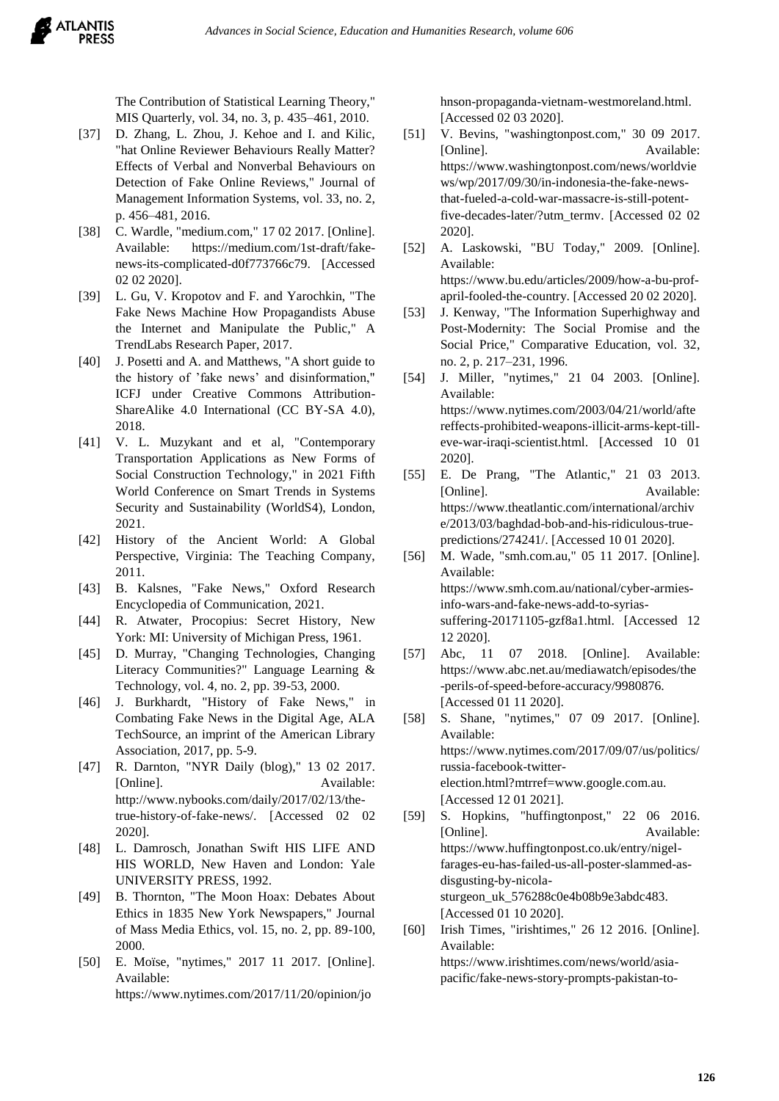The Contribution of Statistical Learning Theory," MIS Quarterly, vol. 34, no. 3, p. 435–461, 2010.

- [37] D. Zhang, L. Zhou, J. Kehoe and I. and Kilic, "hat Online Reviewer Behaviours Really Matter? Effects of Verbal and Nonverbal Behaviours on Detection of Fake Online Reviews," Journal of Management Information Systems, vol. 33, no. 2, p. 456–481, 2016.
- [38] C. Wardle, "medium.com," 17 02 2017. [Online]. Available: https://medium.com/1st-draft/fakenews-its-complicated-d0f773766c79. [Accessed 02 02 2020].
- [39] L. Gu, V. Kropotov and F. and Yarochkin, "The Fake News Machine How Propagandists Abuse the Internet and Manipulate the Public," A TrendLabs Research Paper, 2017.
- [40] J. Posetti and A. and Matthews, "A short guide to the history of 'fake news' and disinformation," ICFJ under Creative Commons Attribution-ShareAlike 4.0 International (CC BY-SA 4.0), 2018.
- [41] V. L. Muzykant and et al, "Contemporary Transportation Applications as New Forms of Social Construction Technology," in 2021 Fifth World Conference on Smart Trends in Systems Security and Sustainability (WorldS4), London, 2021.
- [42] History of the Ancient World: A Global Perspective, Virginia: The Teaching Company, 2011.
- [43] B. Kalsnes, "Fake News," Oxford Research Encyclopedia of Communication, 2021.
- [44] R. Atwater, Procopius: Secret History, New York: MI: University of Michigan Press, 1961.
- [45] D. Murray, "Changing Technologies, Changing Literacy Communities?" Language Learning & Technology, vol. 4, no. 2, pp. 39-53, 2000.
- [46] J. Burkhardt, "History of Fake News," in Combating Fake News in the Digital Age, ALA TechSource, an imprint of the American Library Association, 2017, pp. 5-9.
- [47] R. Darnton, "NYR Daily (blog)," 13 02 2017. [Online]. Available: http://www.nybooks.com/daily/2017/02/13/thetrue-history-of-fake-news/. [Accessed 02 02 2020].
- [48] L. Damrosch, Jonathan Swift HIS LIFE AND HIS WORLD, New Haven and London: Yale UNIVERSITY PRESS, 1992.
- [49] B. Thornton, "The Moon Hoax: Debates About Ethics in 1835 New York Newspapers," Journal of Mass Media Ethics, vol. 15, no. 2, pp. 89-100, 2000.
- [50] E. Moïse, "nytimes," 2017 11 2017. [Online]. Available: https://www.nytimes.com/2017/11/20/opinion/jo

hnson-propaganda-vietnam-westmoreland.html. [Accessed 02 03 2020].

- [51] V. Bevins, "washingtonpost.com," 30 09 2017. [Online]. Available: https://www.washingtonpost.com/news/worldvie ws/wp/2017/09/30/in-indonesia-the-fake-newsthat-fueled-a-cold-war-massacre-is-still-potentfive-decades-later/?utm\_termv. [Accessed 02 02 2020].
- [52] A. Laskowski, "BU Today," 2009. [Online]. Available: https://www.bu.edu/articles/2009/how-a-bu-profapril-fooled-the-country. [Accessed 20 02 2020].
- [53] J. Kenway, "The Information Superhighway and Post-Modernity: The Social Promise and the Social Price," Comparative Education, vol. 32, no. 2, p. 217–231, 1996.
- [54] J. Miller, "nytimes," 21 04 2003. [Online]. Available: https://www.nytimes.com/2003/04/21/world/afte reffects-prohibited-weapons-illicit-arms-kept-tilleve-war-iraqi-scientist.html. [Accessed 10 01 2020].
- [55] E. De Prang, "The Atlantic," 21 03 2013. [Online]. Available: https://www.theatlantic.com/international/archiv e/2013/03/baghdad-bob-and-his-ridiculous-truepredictions/274241/. [Accessed 10 01 2020].
- [56] M. Wade, "smh.com.au," 05 11 2017. [Online]. Available: https://www.smh.com.au/national/cyber-armiesinfo-wars-and-fake-news-add-to-syriassuffering-20171105-gzf8a1.html. [Accessed 12 12 2020].
- [57] Abc, 11 07 2018. [Online]. Available: https://www.abc.net.au/mediawatch/episodes/the -perils-of-speed-before-accuracy/9980876. [Accessed 01 11 2020].
- [58] S. Shane, "nytimes," 07 09 2017. [Online]. Available: https://www.nytimes.com/2017/09/07/us/politics/ russia-facebook-twitterelection.html?mtrref=www.google.com.au. [Accessed 12 01 2021].
- [59] S. Hopkins, "huffingtonpost," 22 06 2016. [Online]. Available: https://www.huffingtonpost.co.uk/entry/nigelfarages-eu-has-failed-us-all-poster-slammed-asdisgusting-by-nicolasturgeon\_uk\_576288c0e4b08b9e3abdc483. [Accessed 01 10 2020].
- [60] Irish Times, "irishtimes," 26 12 2016. [Online]. Available: https://www.irishtimes.com/news/world/asiapacific/fake-news-story-prompts-pakistan-to-